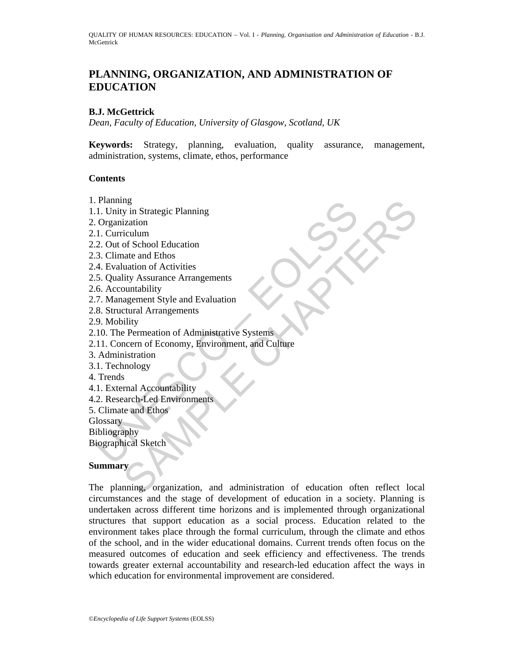# **PLANNING, ORGANIZATION, AND ADMINISTRATION OF EDUCATION**

### **B.J. McGettrick**

*Dean, Faculty of Education, University of Glasgow, Scotland, UK* 

**Keywords:** Strategy, planning, evaluation, quality assurance, management, administration, systems, climate, ethos, performance

### **Contents**

- 1. Planning
- 1.1. Unity in Strategic Planning
- 2. Organization
- 2.1. Curriculum
- 2.2. Out of School Education
- 2.3. Climate and Ethos
- 2.4. Evaluation of Activities
- 2.5. Quality Assurance Arrangements
- 2.6. Accountability
- 2.7. Management Style and Evaluation
- 2.8. Structural Arrangements
- 2.9. Mobility
- 2.10. The Permeation of Administrative Systems
- Planing<br>
1. Unity in Strategic Planning<br>
2. Organization<br>
1. Curriculum<br>
2. Out of School Education<br>
4. Evaluation of Activities<br>
4. Evaluation of Activities<br>
5. Quality Assurance Arrangements<br>
6. Accountability<br>
7. Manage 2.11. Concern of Economy, Environment, and Culture
- 3. Administration
- 3.1. Technology
- 4. Trends
- 4.1. External Accountability
- 4.2. Research-Led Environments
- 5. Climate and Ethos

**Glossary** 

- Bibliography
- Biographical Sketch

### **Summary**

ng<br>
i Si Strategic Planning<br>
ization<br>
iculum<br>
ization<br>
diction of Achol Education<br>
and Ethos<br>
untability<br>
agement Style and Evaluation<br>
agement Style and Evaluation<br>
agement Style and Evaluation<br>
is expension of Administra The planning, organization, and administration of education often reflect local circumstances and the stage of development of education in a society. Planning is undertaken across different time horizons and is implemented through organizational structures that support education as a social process. Education related to the environment takes place through the formal curriculum, through the climate and ethos of the school, and in the wider educational domains. Current trends often focus on the measured outcomes of education and seek efficiency and effectiveness. The trends towards greater external accountability and research-led education affect the ways in which education for environmental improvement are considered.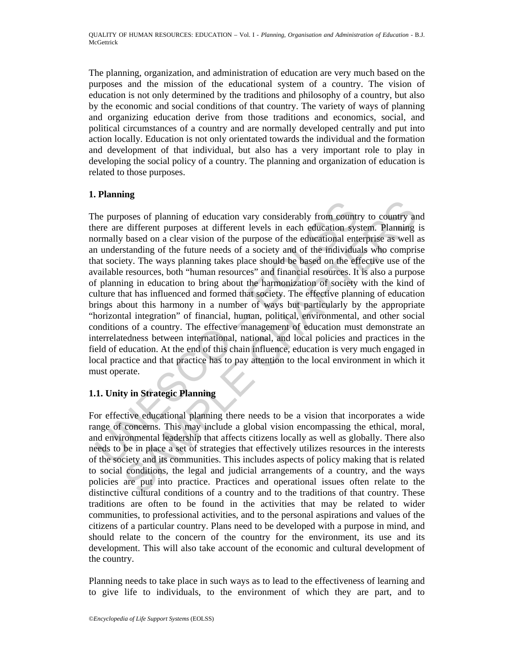The planning, organization, and administration of education are very much based on the purposes and the mission of the educational system of a country. The vision of education is not only determined by the traditions and philosophy of a country, but also by the economic and social conditions of that country. The variety of ways of planning and organizing education derive from those traditions and economics, social, and political circumstances of a country and are normally developed centrally and put into action locally. Education is not only orientated towards the individual and the formation and development of that individual, but also has a very important role to play in developing the social policy of a country. The planning and organization of education is related to those purposes.

## **1. Planning**

the purposes of planning of education vary considerably from count<br>nere are different purposes at different levels in each education sysommally based on a clear vision of the purpose of the educational ent<br>n understanding booses of planning of education vary considerably from country to country and<br>edifferent purposes at different levels in each education system. Planning<br>based on a clear vision of the purpose of the educational enterprise The purposes of planning of education vary considerably from country to country and there are different purposes at different levels in each education system. Planning is normally based on a clear vision of the purpose of the educational enterprise as well as an understanding of the future needs of a society and of the individuals who comprise that society. The ways planning takes place should be based on the effective use of the available resources, both "human resources" and financial resources. It is also a purpose of planning in education to bring about the harmonization of society with the kind of culture that has influenced and formed that society. The effective planning of education brings about this harmony in a number of ways but particularly by the appropriate "horizontal integration" of financial, human, political, environmental, and other social conditions of a country. The effective management of education must demonstrate an interrelatedness between international, national, and local policies and practices in the field of education. At the end of this chain influence, education is very much engaged in local practice and that practice has to pay attention to the local environment in which it must operate.

## **1.1. Unity in Strategic Planning**

For effective educational planning there needs to be a vision that incorporates a wide range of concerns. This may include a global vision encompassing the ethical, moral, and environmental leadership that affects citizens locally as well as globally. There also needs to be in place a set of strategies that effectively utilizes resources in the interests of the society and its communities. This includes aspects of policy making that is related to social conditions, the legal and judicial arrangements of a country, and the ways policies are put into practice. Practices and operational issues often relate to the distinctive cultural conditions of a country and to the traditions of that country. These traditions are often to be found in the activities that may be related to wider communities, to professional activities, and to the personal aspirations and values of the citizens of a particular country. Plans need to be developed with a purpose in mind, and should relate to the concern of the country for the environment, its use and its development. This will also take account of the economic and cultural development of the country.

Planning needs to take place in such ways as to lead to the effectiveness of learning and to give life to individuals, to the environment of which they are part, and to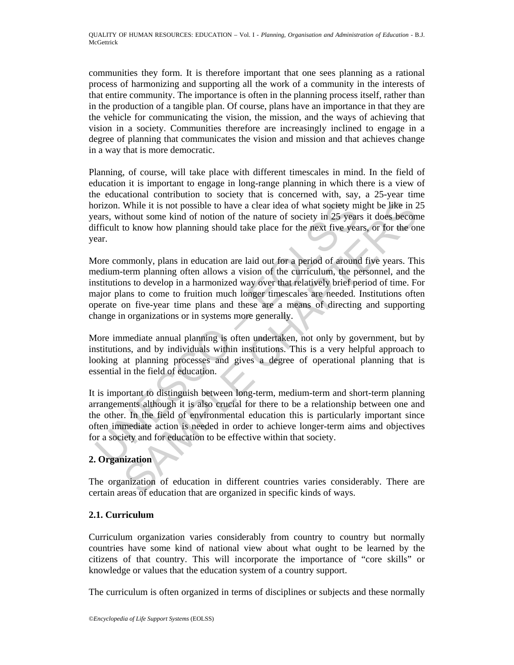communities they form. It is therefore important that one sees planning as a rational process of harmonizing and supporting all the work of a community in the interests of that entire community. The importance is often in the planning process itself, rather than in the production of a tangible plan. Of course, plans have an importance in that they are the vehicle for communicating the vision, the mission, and the ways of achieving that vision in a society. Communities therefore are increasingly inclined to engage in a degree of planning that communicates the vision and mission and that achieves change in a way that is more democratic.

Planning, of course, will take place with different timescales in mind. In the field of education it is important to engage in long-range planning in which there is a view of the educational contribution to society that is concerned with, say, a 25-year time horizon. While it is not possible to have a clear idea of what society might be like in 25 years, without some kind of notion of the nature of society in 25 years it does become difficult to know how planning should take place for the next five years, or for the one year.

orizon. While it is not possible to have a clear idea of what society m<br>ears, without some kind of notion of the nature of society in 25 year<br>fficult to know how planning should take place for the next five yea<br>ear.<br>Iore c While it is not possible to have a clear idea of what society might be like in 2<br>thout some kind of notion of the nature of society in 25 years it does becom<br>to know how planning should take place for the next five years, More commonly, plans in education are laid out for a period of around five years. This medium-term planning often allows a vision of the curriculum, the personnel, and the institutions to develop in a harmonized way over that relatively brief period of time. For major plans to come to fruition much longer timescales are needed. Institutions often operate on five-year time plans and these are a means of directing and supporting change in organizations or in systems more generally.

More immediate annual planning is often undertaken, not only by government, but by institutions, and by individuals within institutions. This is a very helpful approach to looking at planning processes and gives a degree of operational planning that is essential in the field of education.

It is important to distinguish between long-term, medium-term and short-term planning arrangements although it is also crucial for there to be a relationship between one and the other. In the field of environmental education this is particularly important since often immediate action is needed in order to achieve longer-term aims and objectives for a society and for education to be effective within that society.

## **2. Organization**

The organization of education in different countries varies considerably. There are certain areas of education that are organized in specific kinds of ways.

## **2.1. Curriculum**

Curriculum organization varies considerably from country to country but normally countries have some kind of national view about what ought to be learned by the citizens of that country. This will incorporate the importance of "core skills" or knowledge or values that the education system of a country support.

The curriculum is often organized in terms of disciplines or subjects and these normally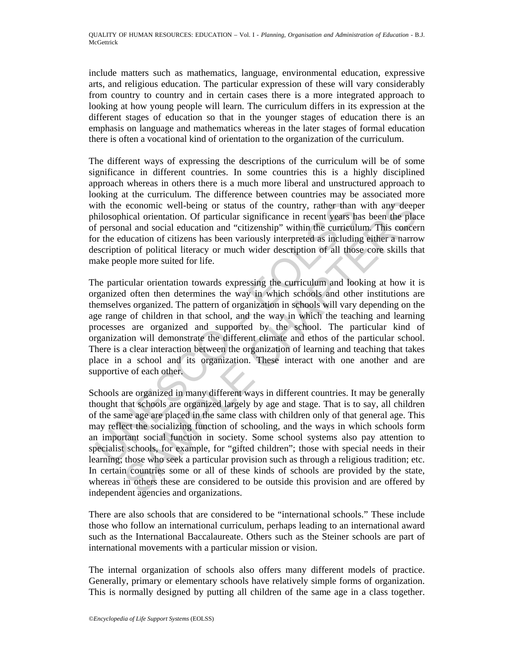include matters such as mathematics, language, environmental education, expressive arts, and religious education. The particular expression of these will vary considerably from country to country and in certain cases there is a more integrated approach to looking at how young people will learn. The curriculum differs in its expression at the different stages of education so that in the younger stages of education there is an emphasis on language and mathematics whereas in the later stages of formal education there is often a vocational kind of orientation to the organization of the curriculum.

The different ways of expressing the descriptions of the curriculum will be of some significance in different countries. In some countries this is a highly disciplined approach whereas in others there is a much more liberal and unstructured approach to looking at the curriculum. The difference between countries may be associated more with the economic well-being or status of the country, rather than with any deeper philosophical orientation. Of particular significance in recent years has been the place of personal and social education and "citizenship" within the curriculum. This concern for the education of citizens has been variously interpreted as including either a narrow description of political literacy or much wider description of all those core skills that make people more suited for life.

ith the economic well-being or status of the country, rather than<br>inlosophical orientation. Of particular significance in recent years ha<br>f personal and social education and "citizenship" within the curriculty<br>secription o The particular orientation towards expressing the curriculum and looking at how it is organized often then determines the way in which schools and other institutions are themselves organized. The pattern of organization in schools will vary depending on the age range of children in that school, and the way in which the teaching and learning processes are organized and supported by the school. The particular kind of organization will demonstrate the different climate and ethos of the particular school. There is a clear interaction between the organization of learning and teaching that takes place in a school and its organization. These interact with one another and are supportive of each other.

economic well-being or status of the country, rather than with any deep<br>hechalal orientation. Of particular significance in recent years has been the place<br>hal and social education and "citizenship" within the curriculum. Schools are organized in many different ways in different countries. It may be generally thought that schools are organized largely by age and stage. That is to say, all children of the same age are placed in the same class with children only of that general age. This may reflect the socializing function of schooling, and the ways in which schools form an important social function in society. Some school systems also pay attention to specialist schools, for example, for "gifted children"; those with special needs in their learning; those who seek a particular provision such as through a religious tradition; etc. In certain countries some or all of these kinds of schools are provided by the state, whereas in others these are considered to be outside this provision and are offered by independent agencies and organizations.

There are also schools that are considered to be "international schools." These include those who follow an international curriculum, perhaps leading to an international award such as the International Baccalaureate. Others such as the Steiner schools are part of international movements with a particular mission or vision.

The internal organization of schools also offers many different models of practice. Generally, primary or elementary schools have relatively simple forms of organization. This is normally designed by putting all children of the same age in a class together.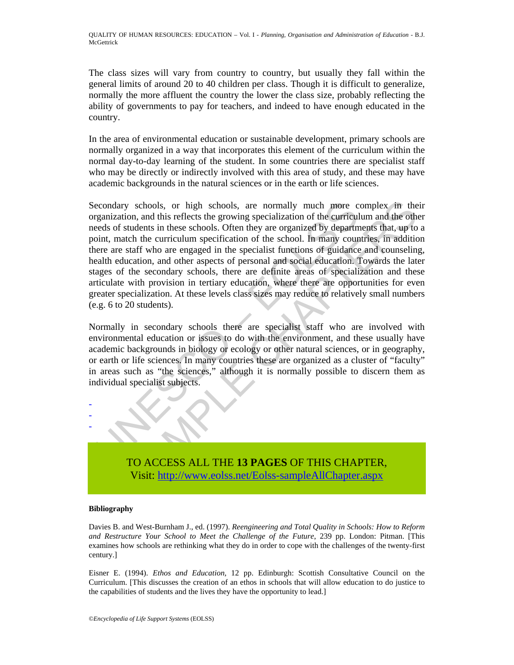The class sizes will vary from country to country, but usually they fall within the general limits of around 20 to 40 children per class. Though it is difficult to generalize, normally the more affluent the country the lower the class size, probably reflecting the ability of governments to pay for teachers, and indeed to have enough educated in the country.

In the area of environmental education or sustainable development, primary schools are normally organized in a way that incorporates this element of the curriculum within the normal day-to-day learning of the student. In some countries there are specialist staff who may be directly or indirectly involved with this area of study, and these may have academic backgrounds in the natural sciences or in the earth or life sciences.

econdary schools, or high schools, are normally much more c<br>equarization, and this reflects the growing specialization of the curriculum<br>eeds of students in these schools. Often they are organized by department<br>end in the ry schools, or high schools, are normally much more complex in the sion, and this reflects the growing specialization of the curriculum and the other attents that the curriculum specification of the school. In many countri Secondary schools, or high schools, are normally much more complex in their organization, and this reflects the growing specialization of the curriculum and the other needs of students in these schools. Often they are organized by departments that, up to a point, match the curriculum specification of the school. In many countries, in addition there are staff who are engaged in the specialist functions of guidance and counseling, health education, and other aspects of personal and social education. Towards the later stages of the secondary schools, there are definite areas of specialization and these articulate with provision in tertiary education, where there are opportunities for even greater specialization. At these levels class sizes may reduce to relatively small numbers (e.g. 6 to 20 students).

Normally in secondary schools there are specialist staff who are involved with environmental education or issues to do with the environment, and these usually have academic backgrounds in biology or ecology or other natural sciences, or in geography, or earth or life sciences. In many countries these are organized as a cluster of "faculty" in areas such as "the sciences," although it is normally possible to discern them as individual specialist subjects.

> TO ACCESS ALL THE **13 PAGES** OF THIS CHAPTER, Visit: http://www.eolss.net/Eolss-sampleAllChapter.aspx

#### **Bibliography**

- - -

Davies B. and West-Burnham J., ed. (1997). *Reengineering and Total Quality in Schools: How to Reform and Restructure Your School to Meet the Challenge of the Future*, 239 pp. London: Pitman. [This examines how schools are rethinking what they do in order to cope with the challenges of the twenty-first century.]

Eisner E. (1994). *Ethos and Education,* 12 pp. Edinburgh: Scottish Consultative Council on the Curriculum. [This discusses the creation of an ethos in schools that will allow education to do justice to the capabilities of students and the lives they have the opportunity to lead.]